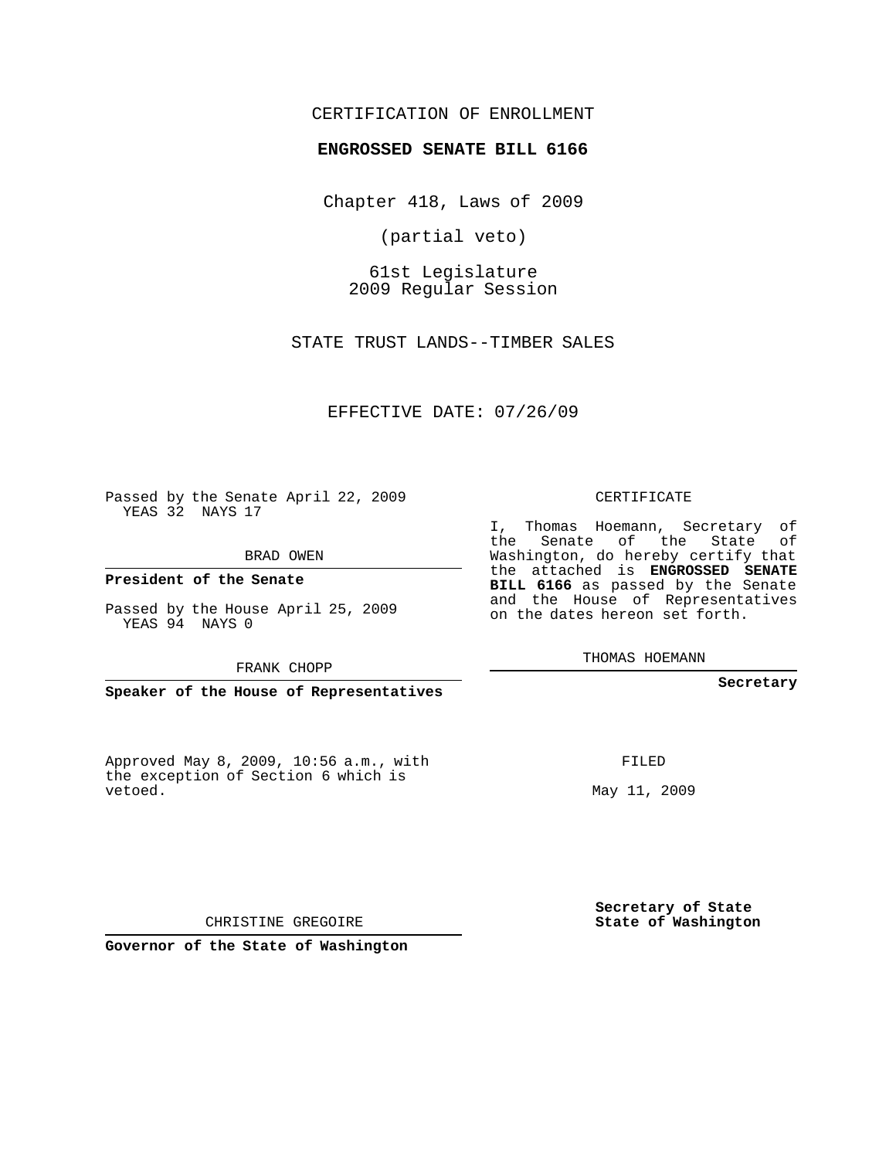## CERTIFICATION OF ENROLLMENT

## **ENGROSSED SENATE BILL 6166**

Chapter 418, Laws of 2009

(partial veto)

61st Legislature 2009 Regular Session

STATE TRUST LANDS--TIMBER SALES

EFFECTIVE DATE: 07/26/09

Passed by the Senate April 22, 2009 YEAS 32 NAYS 17

BRAD OWEN

**President of the Senate**

Passed by the House April 25, 2009 YEAS 94 NAYS 0

FRANK CHOPP

**Speaker of the House of Representatives**

Approved May 8, 2009, 10:56 a.m., with the exception of Section 6 which is vetoed.

CERTIFICATE

I, Thomas Hoemann, Secretary of the Senate of the State of Washington, do hereby certify that the attached is **ENGROSSED SENATE BILL 6166** as passed by the Senate and the House of Representatives on the dates hereon set forth.

THOMAS HOEMANN

**Secretary**

FILED

May 11, 2009

**Secretary of State State of Washington**

CHRISTINE GREGOIRE

**Governor of the State of Washington**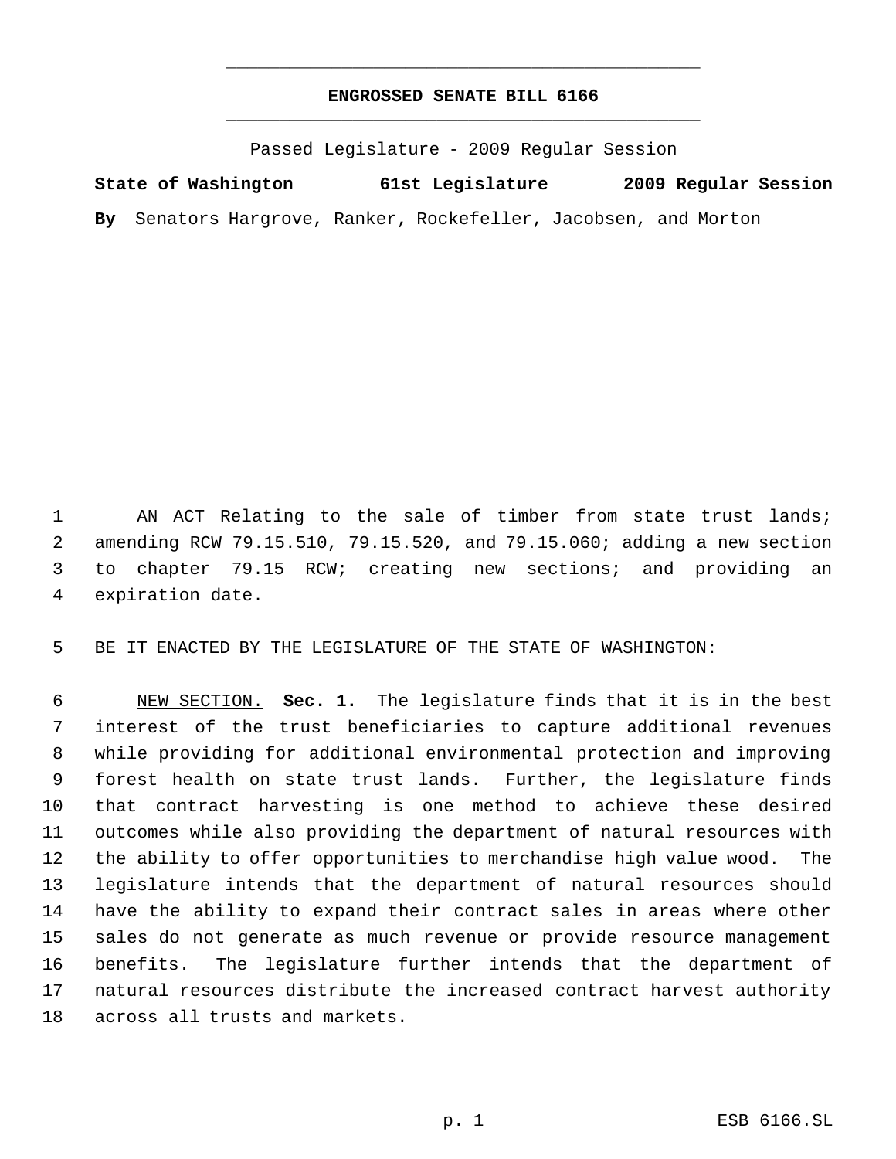## **ENGROSSED SENATE BILL 6166** \_\_\_\_\_\_\_\_\_\_\_\_\_\_\_\_\_\_\_\_\_\_\_\_\_\_\_\_\_\_\_\_\_\_\_\_\_\_\_\_\_\_\_\_\_

\_\_\_\_\_\_\_\_\_\_\_\_\_\_\_\_\_\_\_\_\_\_\_\_\_\_\_\_\_\_\_\_\_\_\_\_\_\_\_\_\_\_\_\_\_

Passed Legislature - 2009 Regular Session

**State of Washington 61st Legislature 2009 Regular Session**

**By** Senators Hargrove, Ranker, Rockefeller, Jacobsen, and Morton

1 AN ACT Relating to the sale of timber from state trust lands; amending RCW 79.15.510, 79.15.520, and 79.15.060; adding a new section to chapter 79.15 RCW; creating new sections; and providing an expiration date.

BE IT ENACTED BY THE LEGISLATURE OF THE STATE OF WASHINGTON:

 NEW SECTION. **Sec. 1.** The legislature finds that it is in the best interest of the trust beneficiaries to capture additional revenues while providing for additional environmental protection and improving forest health on state trust lands. Further, the legislature finds that contract harvesting is one method to achieve these desired outcomes while also providing the department of natural resources with the ability to offer opportunities to merchandise high value wood. The legislature intends that the department of natural resources should have the ability to expand their contract sales in areas where other sales do not generate as much revenue or provide resource management benefits. The legislature further intends that the department of natural resources distribute the increased contract harvest authority across all trusts and markets.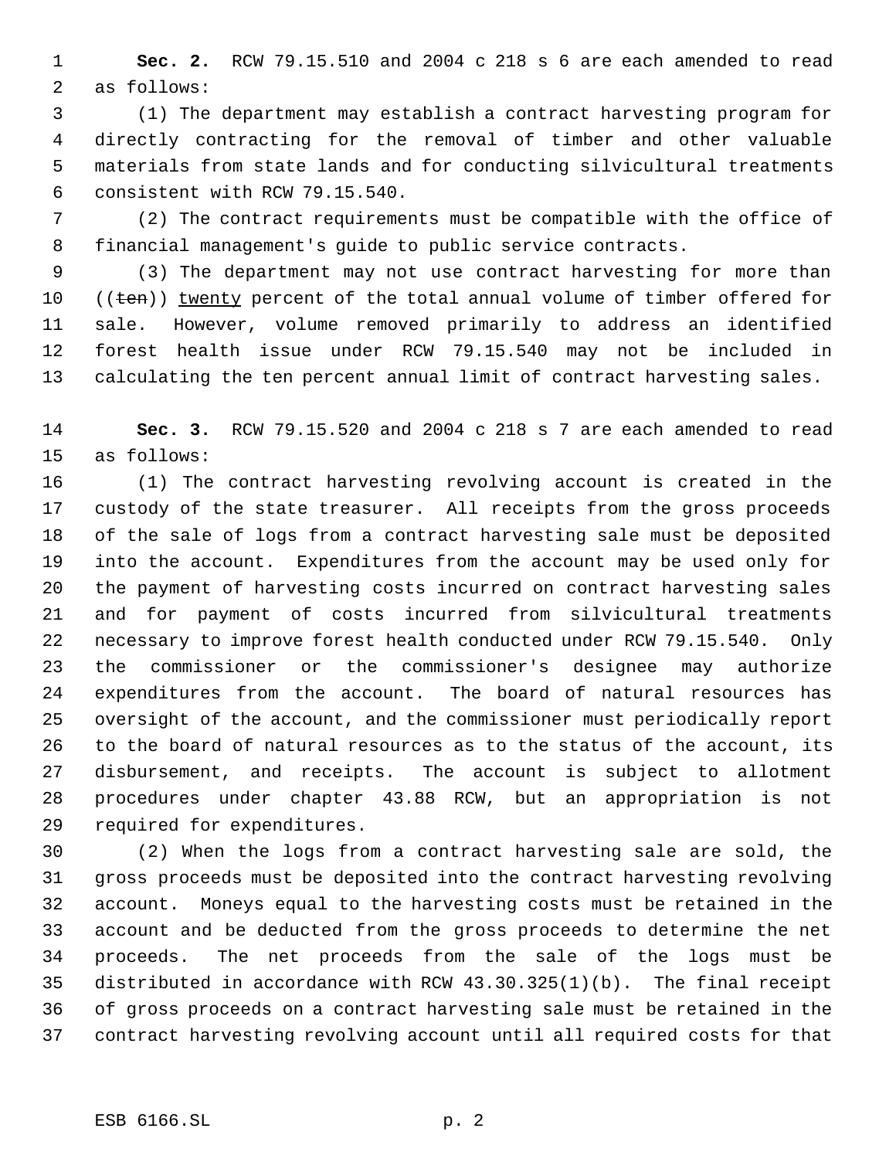**Sec. 2.** RCW 79.15.510 and 2004 c 218 s 6 are each amended to read as follows:

 (1) The department may establish a contract harvesting program for directly contracting for the removal of timber and other valuable materials from state lands and for conducting silvicultural treatments consistent with RCW 79.15.540.

 (2) The contract requirements must be compatible with the office of financial management's guide to public service contracts.

 (3) The department may not use contract harvesting for more than 10 ((ten)) twenty percent of the total annual volume of timber offered for sale. However, volume removed primarily to address an identified forest health issue under RCW 79.15.540 may not be included in calculating the ten percent annual limit of contract harvesting sales.

 **Sec. 3.** RCW 79.15.520 and 2004 c 218 s 7 are each amended to read as follows:

 (1) The contract harvesting revolving account is created in the custody of the state treasurer. All receipts from the gross proceeds of the sale of logs from a contract harvesting sale must be deposited into the account. Expenditures from the account may be used only for the payment of harvesting costs incurred on contract harvesting sales and for payment of costs incurred from silvicultural treatments necessary to improve forest health conducted under RCW 79.15.540. Only the commissioner or the commissioner's designee may authorize expenditures from the account. The board of natural resources has oversight of the account, and the commissioner must periodically report to the board of natural resources as to the status of the account, its disbursement, and receipts. The account is subject to allotment procedures under chapter 43.88 RCW, but an appropriation is not required for expenditures.

 (2) When the logs from a contract harvesting sale are sold, the gross proceeds must be deposited into the contract harvesting revolving account. Moneys equal to the harvesting costs must be retained in the account and be deducted from the gross proceeds to determine the net proceeds. The net proceeds from the sale of the logs must be distributed in accordance with RCW 43.30.325(1)(b). The final receipt of gross proceeds on a contract harvesting sale must be retained in the contract harvesting revolving account until all required costs for that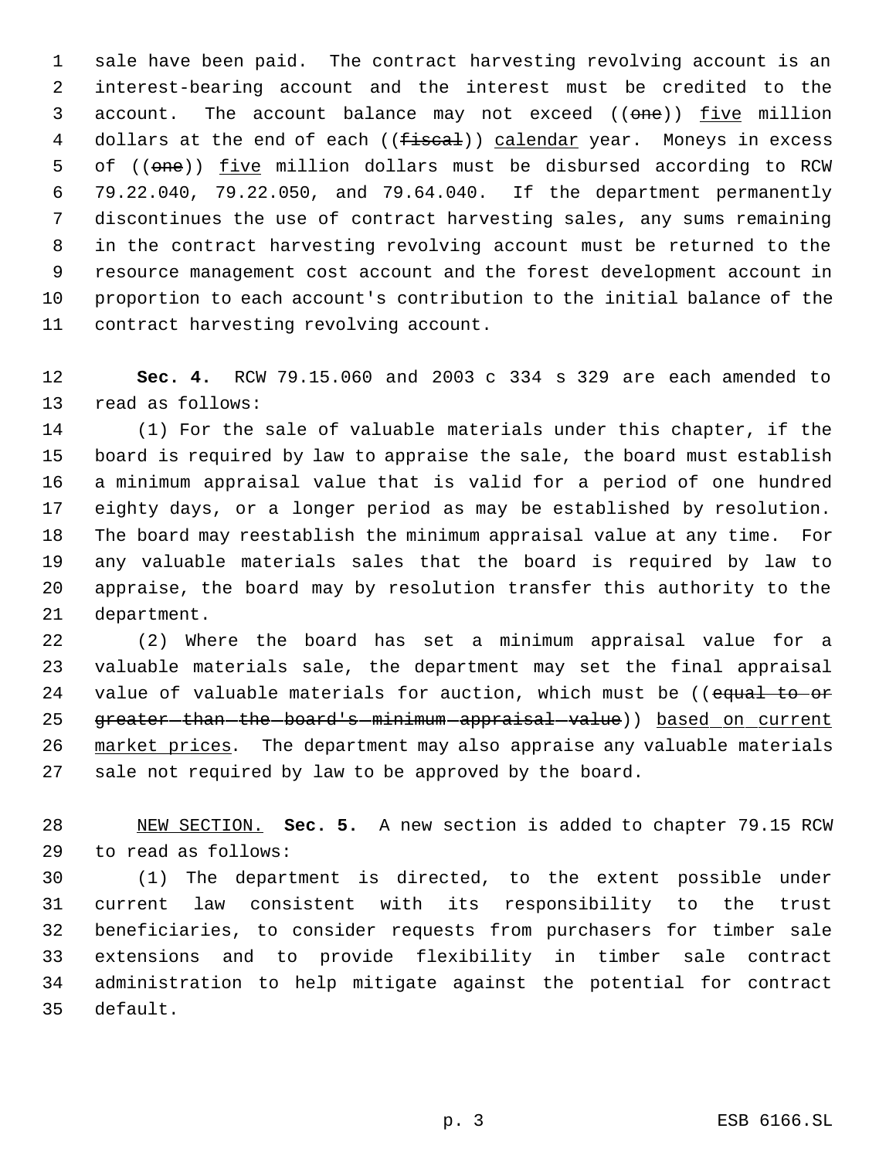sale have been paid. The contract harvesting revolving account is an interest-bearing account and the interest must be credited to the 3 account. The account balance may not exceed ((one)) five million 4 dollars at the end of each ((<del>fiscal</del>)) calendar year. Moneys in excess 5 of ((one)) five million dollars must be disbursed according to RCW 79.22.040, 79.22.050, and 79.64.040. If the department permanently discontinues the use of contract harvesting sales, any sums remaining in the contract harvesting revolving account must be returned to the resource management cost account and the forest development account in proportion to each account's contribution to the initial balance of the contract harvesting revolving account.

 **Sec. 4.** RCW 79.15.060 and 2003 c 334 s 329 are each amended to read as follows:

 (1) For the sale of valuable materials under this chapter, if the board is required by law to appraise the sale, the board must establish a minimum appraisal value that is valid for a period of one hundred eighty days, or a longer period as may be established by resolution. The board may reestablish the minimum appraisal value at any time. For any valuable materials sales that the board is required by law to appraise, the board may by resolution transfer this authority to the department.

 (2) Where the board has set a minimum appraisal value for a valuable materials sale, the department may set the final appraisal 24 value of valuable materials for auction, which must be ((equal to or 25 greater-than-the-board's-minimum-appraisal-value)) based on current market prices. The department may also appraise any valuable materials sale not required by law to be approved by the board.

 NEW SECTION. **Sec. 5.** A new section is added to chapter 79.15 RCW to read as follows:

 (1) The department is directed, to the extent possible under current law consistent with its responsibility to the trust beneficiaries, to consider requests from purchasers for timber sale extensions and to provide flexibility in timber sale contract administration to help mitigate against the potential for contract default.